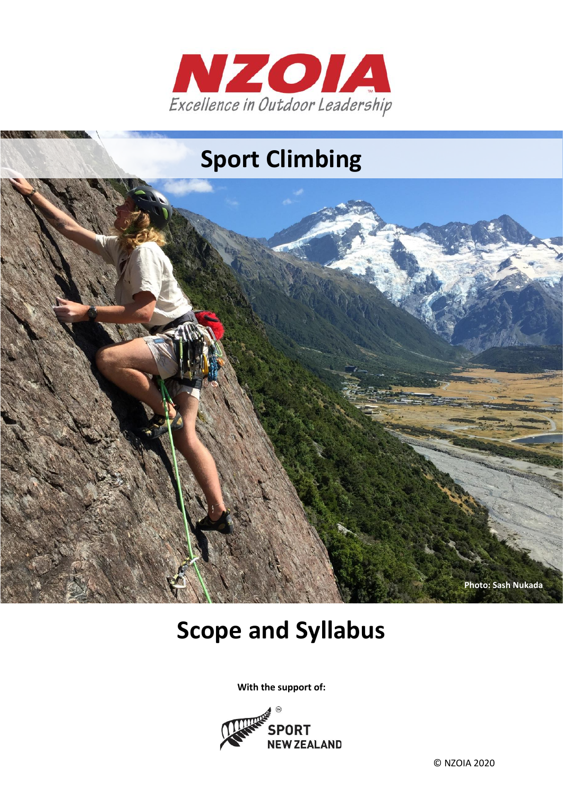



# **Scope and Syllabus**

**With the support of:**



© NZOIA 2020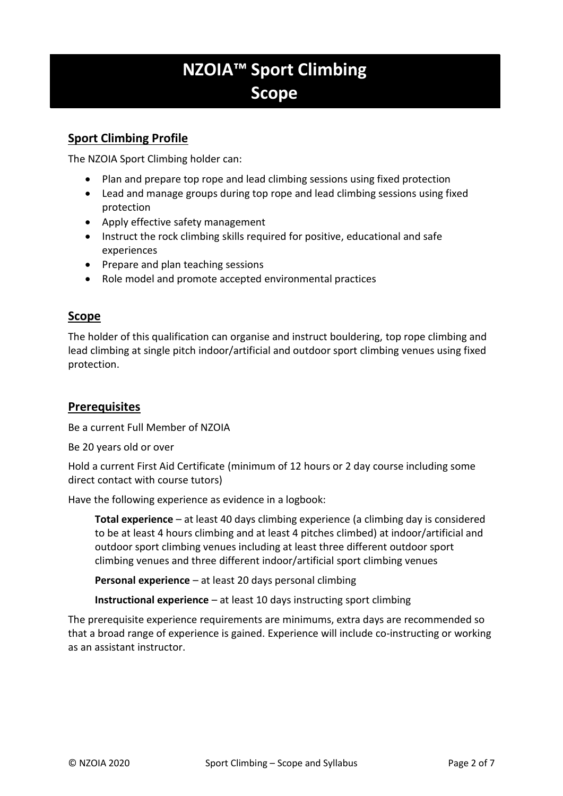# **NZOIA™ Sport Climbing Scope**

# **Sport Climbing Profile**

The NZOIA Sport Climbing holder can:

- Plan and prepare top rope and lead climbing sessions using fixed protection
- Lead and manage groups during top rope and lead climbing sessions using fixed protection
- Apply effective safety management
- Instruct the rock climbing skills required for positive, educational and safe experiences
- Prepare and plan teaching sessions
- Role model and promote accepted environmental practices

### **Scope**

The holder of this qualification can organise and instruct bouldering, top rope climbing and lead climbing at single pitch indoor/artificial and outdoor sport climbing venues using fixed protection.

# **Prerequisites**

Be a current Full Member of NZOIA

Be 20 years old or over

Hold a current First Aid Certificate (minimum of 12 hours or 2 day course including some direct contact with course tutors)

Have the following experience as evidence in a logbook:

**Total experience** – at least 40 days climbing experience (a climbing day is considered to be at least 4 hours climbing and at least 4 pitches climbed) at indoor/artificial and outdoor sport climbing venues including at least three different outdoor sport climbing venues and three different indoor/artificial sport climbing venues

**Personal experience** – at least 20 days personal climbing

**Instructional experience** – at least 10 days instructing sport climbing

The prerequisite experience requirements are minimums, extra days are recommended so that a broad range of experience is gained. Experience will include co-instructing or working as an assistant instructor.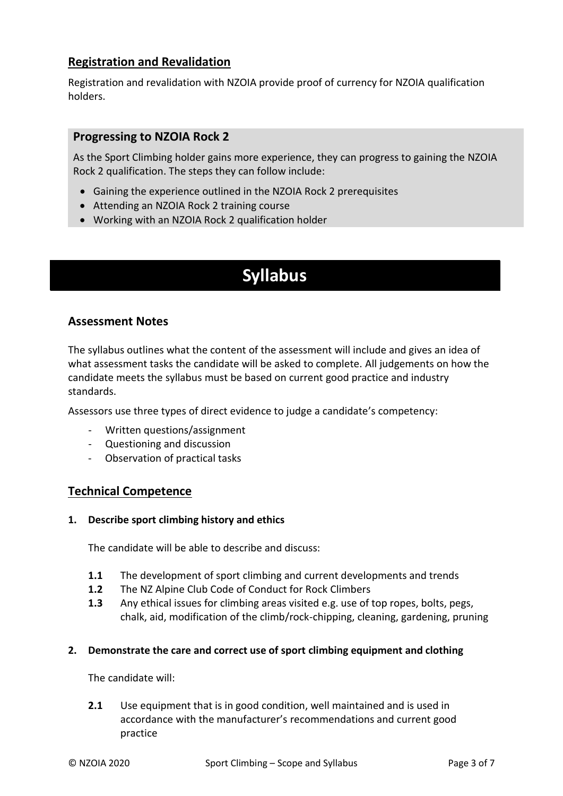## **Registration and Revalidation**

Registration and revalidation with NZOIA provide proof of currency for NZOIA qualification holders.

#### **Progressing to NZOIA Rock 2**

As the Sport Climbing holder gains more experience, they can progress to gaining the NZOIA Rock 2 qualification. The steps they can follow include:

- Gaining the experience outlined in the NZOIA Rock 2 prerequisites
- Attending an NZOIA Rock 2 training course
- Working with an NZOIA Rock 2 qualification holder

# **Syllabus**

#### **Assessment Notes**

The syllabus outlines what the content of the assessment will include and gives an idea of what assessment tasks the candidate will be asked to complete. All judgements on how the candidate meets the syllabus must be based on current good practice and industry standards.

Assessors use three types of direct evidence to judge a candidate's competency:

- Written questions/assignment
- Questioning and discussion
- Observation of practical tasks

#### **Technical Competence**

#### **1. Describe sport climbing history and ethics**

The candidate will be able to describe and discuss:

- **1.1** The development of sport climbing and current developments and trends
- **1.2** The NZ Alpine Club Code of Conduct for Rock Climbers
- **1.3** Any ethical issues for climbing areas visited e.g. use of top ropes, bolts, pegs, chalk, aid, modification of the climb/rock-chipping, cleaning, gardening, pruning

#### **2. Demonstrate the care and correct use of sport climbing equipment and clothing**

The candidate will:

**2.1** Use equipment that is in good condition, well maintained and is used in accordance with the manufacturer's recommendations and current good practice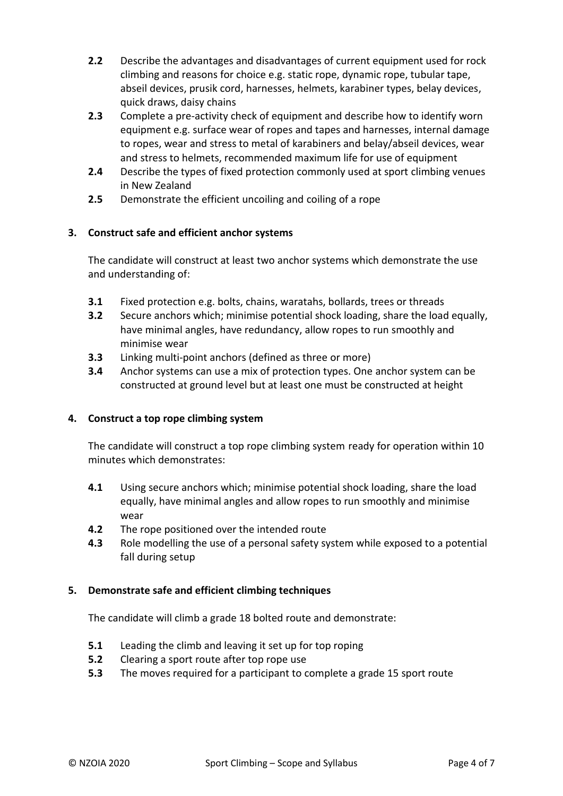- **2.2** Describe the advantages and disadvantages of current equipment used for rock climbing and reasons for choice e.g. static rope, dynamic rope, tubular tape, abseil devices, prusik cord, harnesses, helmets, karabiner types, belay devices, quick draws, daisy chains
- **2.3** Complete a pre-activity check of equipment and describe how to identify worn equipment e.g. surface wear of ropes and tapes and harnesses, internal damage to ropes, wear and stress to metal of karabiners and belay/abseil devices, wear and stress to helmets, recommended maximum life for use of equipment
- **2.4** Describe the types of fixed protection commonly used at sport climbing venues in New Zealand
- **2.5** Demonstrate the efficient uncoiling and coiling of a rope

#### **3. Construct safe and efficient anchor systems**

The candidate will construct at least two anchor systems which demonstrate the use and understanding of:

- **3.1** Fixed protection e.g. bolts, chains, waratahs, bollards, trees or threads
- **3.2** Secure anchors which; minimise potential shock loading, share the load equally, have minimal angles, have redundancy, allow ropes to run smoothly and minimise wear
- **3.3** Linking multi-point anchors (defined as three or more)
- **3.4** Anchor systems can use a mix of protection types. One anchor system can be constructed at ground level but at least one must be constructed at height

#### **4. Construct a top rope climbing system**

The candidate will construct a top rope climbing system ready for operation within 10 minutes which demonstrates:

- **4.1** Using secure anchors which; minimise potential shock loading, share the load equally, have minimal angles and allow ropes to run smoothly and minimise wear
- **4.2** The rope positioned over the intended route
- **4.3** Role modelling the use of a personal safety system while exposed to a potential fall during setup

#### **5. Demonstrate safe and efficient climbing techniques**

The candidate will climb a grade 18 bolted route and demonstrate:

- **5.1** Leading the climb and leaving it set up for top roping
- **5.2** Clearing a sport route after top rope use
- **5.3** The moves required for a participant to complete a grade 15 sport route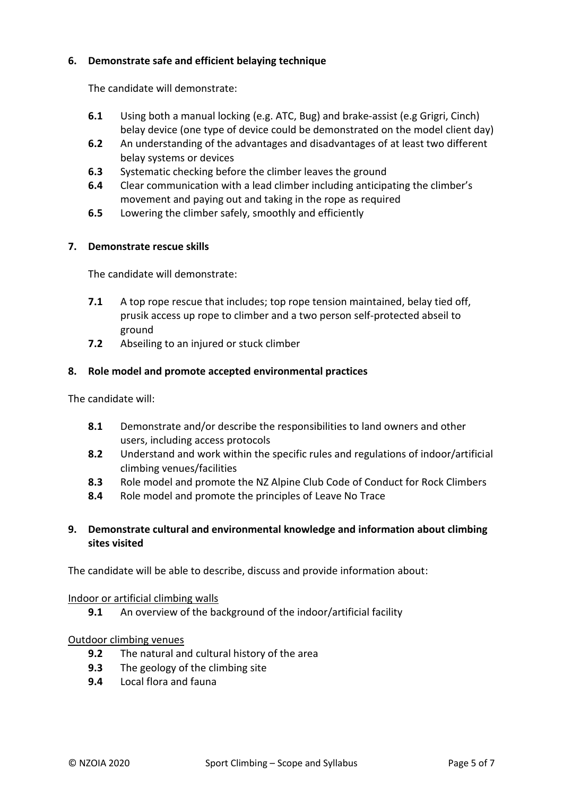#### **6. Demonstrate safe and efficient belaying technique**

The candidate will demonstrate:

- **6.1** Using both a manual locking (e.g. ATC, Bug) and brake-assist (e.g Grigri, Cinch) belay device (one type of device could be demonstrated on the model client day)
- **6.2** An understanding of the advantages and disadvantages of at least two different belay systems or devices
- **6.3** Systematic checking before the climber leaves the ground
- **6.4** Clear communication with a lead climber including anticipating the climber's movement and paying out and taking in the rope as required
- **6.5** Lowering the climber safely, smoothly and efficiently

#### **7. Demonstrate rescue skills**

The candidate will demonstrate:

- **7.1** A top rope rescue that includes; top rope tension maintained, belay tied off, prusik access up rope to climber and a two person self-protected abseil to ground
- **7.2** Abseiling to an injured or stuck climber

#### **8. Role model and promote accepted environmental practices**

The candidate will:

- **8.1** Demonstrate and/or describe the responsibilities to land owners and other users, including access protocols
- **8.2** Understand and work within the specific rules and regulations of indoor/artificial climbing venues/facilities
- **8.3** Role model and promote the NZ Alpine Club Code of Conduct for Rock Climbers
- **8.4** Role model and promote the principles of Leave No Trace

#### **9. Demonstrate cultural and environmental knowledge and information about climbing sites visited**

The candidate will be able to describe, discuss and provide information about:

#### Indoor or artificial climbing walls

**9.1** An overview of the background of the indoor/artificial facility

#### Outdoor climbing venues

- **9.2** The natural and cultural history of the area
- **9.3** The geology of the climbing site
- **9.4** Local flora and fauna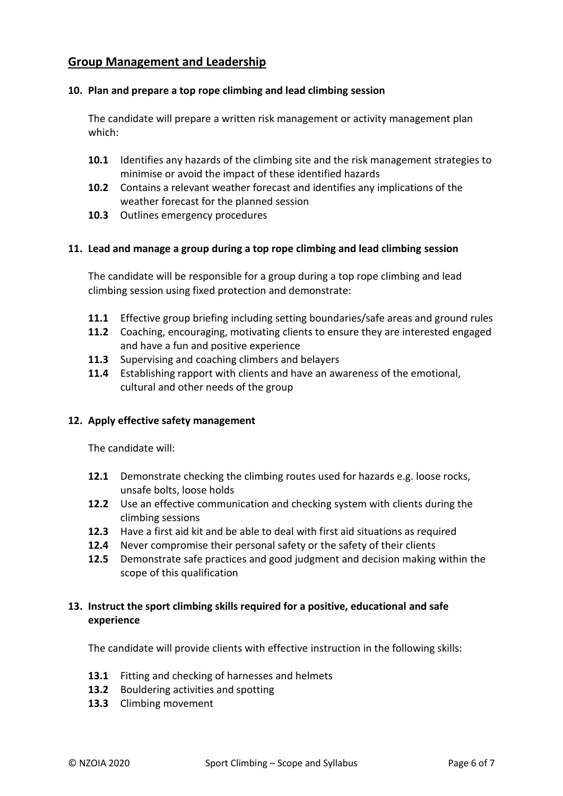## **Group Management and Leadership**

#### **10. Plan and prepare a top rope climbing and lead climbing session**

The candidate will prepare a written risk management or activity management plan which:

- **10.1** Identifies any hazards of the climbing site and the risk management strategies to minimise or avoid the impact of these identified hazards
- **10.2** Contains a relevant weather forecast and identifies any implications of the weather forecast for the planned session
- **10.3** Outlines emergency procedures

#### **11. Lead and manage a group during a top rope climbing and lead climbing session**

The candidate will be responsible for a group during a top rope climbing and lead climbing session using fixed protection and demonstrate:

- **11.1** Effective group briefing including setting boundaries/safe areas and ground rules
- **11.2** Coaching, encouraging, motivating clients to ensure they are interested engaged and have a fun and positive experience
- **11.3** Supervising and coaching climbers and belayers
- **11.4** Establishing rapport with clients and have an awareness of the emotional, cultural and other needs of the group

#### **12. Apply effective safety management**

The candidate will:

- **12.1** Demonstrate checking the climbing routes used for hazards e.g. loose rocks, unsafe bolts, loose holds
- **12.2** Use an effective communication and checking system with clients during the climbing sessions
- **12.3** Have a first aid kit and be able to deal with first aid situations as required
- **12.4** Never compromise their personal safety or the safety of their clients
- **12.5** Demonstrate safe practices and good judgment and decision making within the scope of this qualification

#### **13. Instruct the sport climbing skills required for a positive, educational and safe experience**

The candidate will provide clients with effective instruction in the following skills:

- **13.1** Fitting and checking of harnesses and helmets
- **13.2** Bouldering activities and spotting
- **13.3** Climbing movement